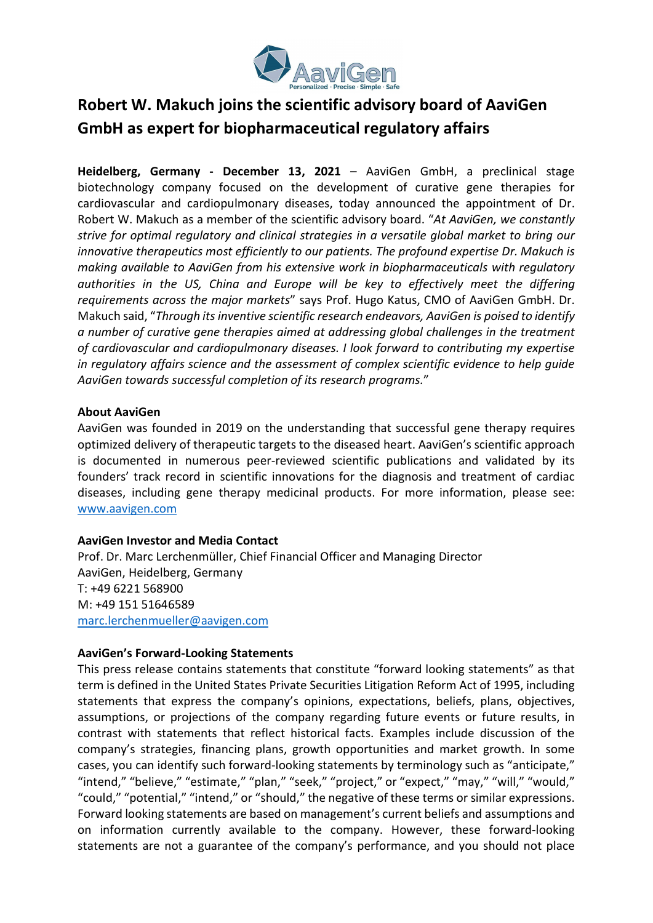

## Robert W. Makuch joins the scientific advisory board of AaviGen GmbH as expert for biopharmaceutical regulatory affairs

Heidelberg, Germany - December 13, 2021 – AaviGen GmbH, a preclinical stage biotechnology company focused on the development of curative gene therapies for cardiovascular and cardiopulmonary diseases, today announced the appointment of Dr. Robert W. Makuch as a member of the scientific advisory board. "At AaviGen, we constantly strive for optimal regulatory and clinical strategies in a versatile global market to bring our innovative therapeutics most efficiently to our patients. The profound expertise Dr. Makuch is making available to AaviGen from his extensive work in biopharmaceuticals with regulatory authorities in the US, China and Europe will be key to effectively meet the differing requirements across the major markets" says Prof. Hugo Katus, CMO of AaviGen GmbH. Dr. Makuch said, "Through its inventive scientific research endeavors, AaviGen is poised to identify a number of curative gene therapies aimed at addressing global challenges in the treatment of cardiovascular and cardiopulmonary diseases. I look forward to contributing my expertise in regulatory affairs science and the assessment of complex scientific evidence to help guide AaviGen towards successful completion of its research programs."

## About AaviGen

AaviGen was founded in 2019 on the understanding that successful gene therapy requires optimized delivery of therapeutic targets to the diseased heart. AaviGen's scientific approach is documented in numerous peer-reviewed scientific publications and validated by its founders' track record in scientific innovations for the diagnosis and treatment of cardiac diseases, including gene therapy medicinal products. For more information, please see: www.aavigen.com

## AaviGen Investor and Media Contact

Prof. Dr. Marc Lerchenmüller, Chief Financial Officer and Managing Director AaviGen, Heidelberg, Germany T: +49 6221 568900 M: +49 151 51646589 marc.lerchenmueller@aavigen.com

## AaviGen's Forward-Looking Statements

This press release contains statements that constitute "forward looking statements" as that term is defined in the United States Private Securities Litigation Reform Act of 1995, including statements that express the company's opinions, expectations, beliefs, plans, objectives, assumptions, or projections of the company regarding future events or future results, in contrast with statements that reflect historical facts. Examples include discussion of the company's strategies, financing plans, growth opportunities and market growth. In some cases, you can identify such forward-looking statements by terminology such as "anticipate," "intend," "believe," "estimate," "plan," "seek," "project," or "expect," "may," "will," "would," "could," "potential," "intend," or "should," the negative of these terms or similar expressions. Forward looking statements are based on management's current beliefs and assumptions and on information currently available to the company. However, these forward-looking statements are not a guarantee of the company's performance, and you should not place